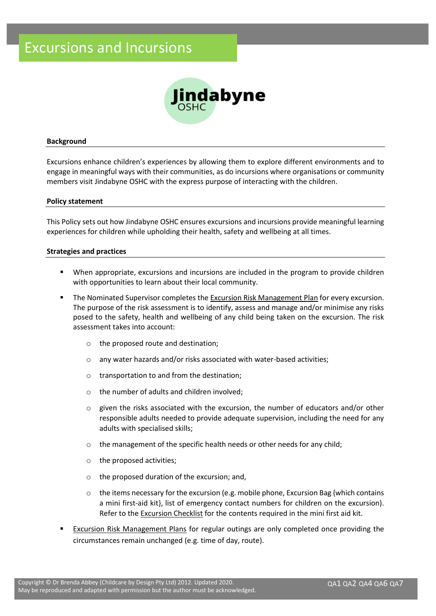

#### **Background**

Excursions enhance children's experiences by allowing them to explore different environments and to engage in meaningful ways with their communities, as do incursions where organisations or community members visit Jindabyne OSHC with the express purpose of interacting with the children.

## **Policy statement**

This Policy sets out how Jindabyne OSHC ensures excursions and incursions provide meaningful learning experiences for children while upholding their health, safety and wellbeing at all times.

## **Strategies and practices**

- When appropriate, excursions and incursions are included in the program to provide children with opportunities to learn about their local community.
- **The Nominated Supervisor completes the Excursion Risk Management Plan for every excursion.** The purpose of the risk assessment is to identify, assess and manage and/or minimise any risks posed to the safety, health and wellbeing of any child being taken on the excursion. The risk assessment takes into account:
	- o the proposed route and destination;
	- o any water hazards and/or risks associated with water-based activities;
	- o transportation to and from the destination;
	- o the number of adults and children involved;
	- given the risks associated with the excursion, the number of educators and/or other responsible adults needed to provide adequate supervision, including the need for any adults with specialised skills;
	- $\circ$  the management of the specific health needs or other needs for any child;
	- o the proposed activities;
	- o the proposed duration of the excursion; and,
	- $\circ$  the items necessary for the excursion (e.g. mobile phone, Excursion Bag {which contains a mini first-aid kit}, list of emergency contact numbers for children on the excursion). Refer to the Excursion Checklist for the contents required in the mini first aid kit.
- Excursion Risk Management Plans for regular outings are only completed once providing the circumstances remain unchanged (e.g. time of day, route).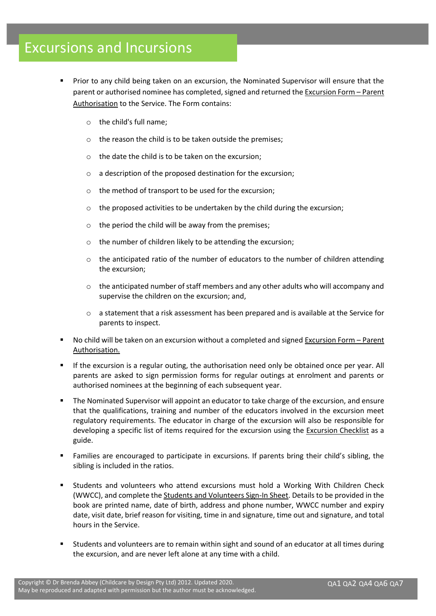# Excursions and Incursions

- Prior to any child being taken on an excursion, the Nominated Supervisor will ensure that the parent or authorised nominee has completed, signed and returned the Excursion Form – Parent Authorisation to the Service. The Form contains:
	- o the child's full name;
	- o the reason the child is to be taken outside the premises;
	- o the date the child is to be taken on the excursion;
	- o a description of the proposed destination for the excursion;
	- o the method of transport to be used for the excursion;
	- $\circ$  the proposed activities to be undertaken by the child during the excursion:
	- o the period the child will be away from the premises;
	- o the number of children likely to be attending the excursion;
	- $\circ$  the anticipated ratio of the number of educators to the number of children attending the excursion;
	- o the anticipated number of staff members and any other adults who will accompany and supervise the children on the excursion; and,
	- $\circ$  a statement that a risk assessment has been prepared and is available at the Service for parents to inspect.
- No child will be taken on an excursion without a completed and signed Excursion Form Parent Authorisation.
- If the excursion is a regular outing, the authorisation need only be obtained once per year. All parents are asked to sign permission forms for regular outings at enrolment and parents or authorised nominees at the beginning of each subsequent year.
- The Nominated Supervisor will appoint an educator to take charge of the excursion, and ensure that the qualifications, training and number of the educators involved in the excursion meet regulatory requirements. The educator in charge of the excursion will also be responsible for developing a specific list of items required for the excursion using the Excursion Checklist as a guide.
- Families are encouraged to participate in excursions. If parents bring their child's sibling, the sibling is included in the ratios.
- Students and volunteers who attend excursions must hold a Working With Children Check (WWCC), and complete the Students and Volunteers Sign-In Sheet. Details to be provided in the book are printed name, date of birth, address and phone number, WWCC number and expiry date, visit date, brief reason for visiting, time in and signature, time out and signature, and total hours in the Service.
- Students and volunteers are to remain within sight and sound of an educator at all times during the excursion, and are never left alone at any time with a child.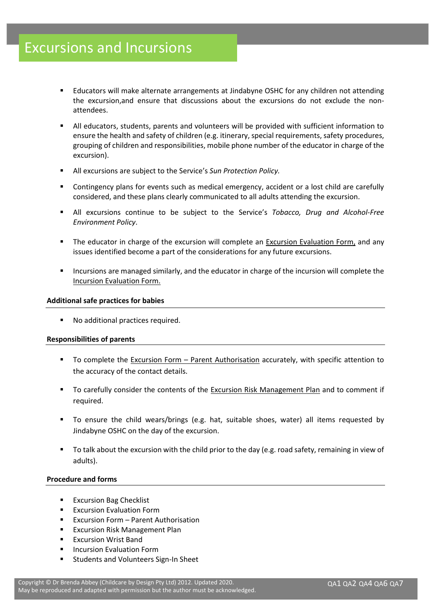- Educators will make alternate arrangements at Jindabyne OSHC for any children not attending the excursion,and ensure that discussions about the excursions do not exclude the nonattendees.
- All educators, students, parents and volunteers will be provided with sufficient information to ensure the health and safety of children (e.g. itinerary, special requirements, safety procedures, grouping of children and responsibilities, mobile phone number of the educator in charge of the excursion).
- All excursions are subject to the Service's *Sun Protection Policy.*
- Contingency plans for events such as medical emergency, accident or a lost child are carefully considered, and these plans clearly communicated to all adults attending the excursion.
- All excursions continue to be subject to the Service's *Tobacco, Drug and Alcohol-Free Environment Policy*.
- The educator in charge of the excursion will complete an Excursion Evaluation Form, and any issues identified become a part of the considerations for any future excursions.
- **■** Incursions are managed similarly, and the educator in charge of the incursion will complete the Incursion Evaluation Form.

# **Additional safe practices for babies**

No additional practices required.

## **Responsibilities of parents**

- To complete the Excursion Form Parent Authorisation accurately, with specific attention to the accuracy of the contact details.
- To carefully consider the contents of the Excursion Risk Management Plan and to comment if required.
- To ensure the child wears/brings (e.g. hat, suitable shoes, water) all items requested by Jindabyne OSHC on the day of the excursion.
- To talk about the excursion with the child prior to the day (e.g. road safety, remaining in view of adults).

## **Procedure and forms**

- Excursion Bag Checklist
- **Excursion Evaluation Form**
- Excursion Form Parent Authorisation
- **Excursion Risk Management Plan**
- **Excursion Wrist Band**
- **Incursion Evaluation Form**
- Students and Volunteers Sign-In Sheet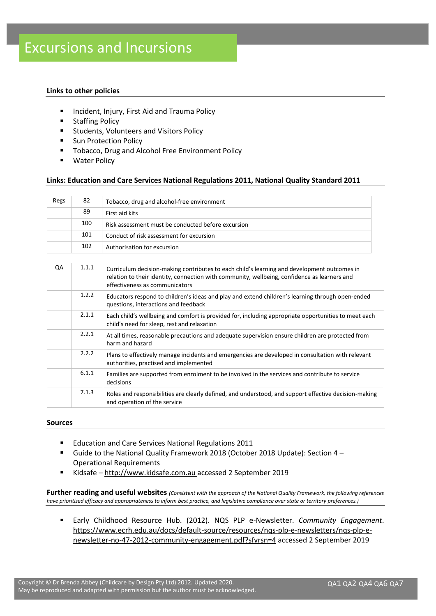# **Links to other policies**

- Incident, Injury, First Aid and Trauma Policy
- Staffing Policy
- Students, Volunteers and Visitors Policy
- **Sun Protection Policy**
- Tobacco, Drug and Alcohol Free Environment Policy
- **Water Policy**

## **Links: Education and Care Services National Regulations 2011, National Quality Standard 2011**

| Regs | 82  | Tobacco, drug and alcohol-free environment         |  |
|------|-----|----------------------------------------------------|--|
|      | 89  | First aid kits                                     |  |
|      | 100 | Risk assessment must be conducted before excursion |  |
|      | 101 | Conduct of risk assessment for excursion           |  |
|      | 102 | Authorisation for excursion                        |  |

| QA | 1.1.1 | Curriculum decision-making contributes to each child's learning and development outcomes in<br>relation to their identity, connection with community, wellbeing, confidence as learners and<br>effectiveness as communicators |
|----|-------|-------------------------------------------------------------------------------------------------------------------------------------------------------------------------------------------------------------------------------|
|    | 1.2.2 | Educators respond to children's ideas and play and extend children's learning through open-ended<br>questions, interactions and feedback                                                                                      |
|    | 2.1.1 | Each child's wellbeing and comfort is provided for, including appropriate opportunities to meet each<br>child's need for sleep, rest and relaxation                                                                           |
|    | 2.2.1 | At all times, reasonable precautions and adequate supervision ensure children are protected from<br>harm and hazard                                                                                                           |
|    | 2.2.2 | Plans to effectively manage incidents and emergencies are developed in consultation with relevant<br>authorities, practised and implemented                                                                                   |
|    | 6.1.1 | Families are supported from enrolment to be involved in the services and contribute to service<br>decisions                                                                                                                   |
|    | 7.1.3 | Roles and responsibilities are clearly defined, and understood, and support effective decision-making<br>and operation of the service                                                                                         |

#### **Sources**

- Education and Care Services National Regulations 2011
- Guide to the National Quality Framework 2018 (October 2018 Update): Section 4 Operational Requirements
- Kidsafe [http://www.kidsafe.com.au](http://www.kidsafe.com.au/) accessed 2 September 2019

**Further reading and useful websites** *(Consistent with the approach of the National Quality Framework, the following references have prioritised efficacy and appropriateness to inform best practice, and legislative compliance over state or territory preferences.)*

▪ Early Childhood Resource Hub. (2012). NQS PLP e-Newsletter. *Community Engagement*. [https://www.ecrh.edu.au/docs/default-source/resources/nqs-plp-e-newsletters/nqs-plp-e](https://www.ecrh.edu.au/docs/default-source/resources/nqs-plp-e-newsletters/nqs-plp-e-newsletter-no-47-2012-community-engagement.pdf?sfvrsn=4)[newsletter-no-47-2012-community-engagement.pdf?sfvrsn=4](https://www.ecrh.edu.au/docs/default-source/resources/nqs-plp-e-newsletters/nqs-plp-e-newsletter-no-47-2012-community-engagement.pdf?sfvrsn=4) accessed 2 September 2019